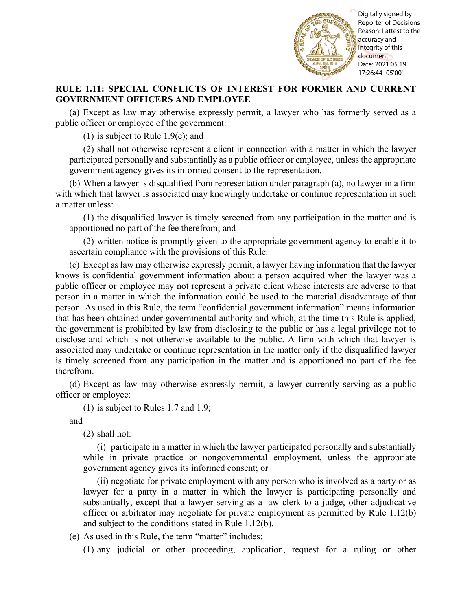

Reporter of Decisions Reason: I attest to the accuracy and integrity of this document Date: 2021.05.19 17:26:44 -05'00'

## **RULE 1.11: SPECIAL CONFLICTS OF INTEREST FOR FORMER AND CURRENT GOVERNMENT OFFICERS AND EMPLOYEE**

(a) Except as law may otherwise expressly permit, a lawyer who has formerly served as a public officer or employee of the government:

(1) is subject to Rule 1.9(c); and

(2) shall not otherwise represent a client in connection with a matter in which the lawyer participated personally and substantially as a public officer or employee, unless the appropriate government agency gives its informed consent to the representation.

(b) When a lawyer is disqualified from representation under paragraph (a), no lawyer in a firm with which that lawyer is associated may knowingly undertake or continue representation in such a matter unless:

(1) the disqualified lawyer is timely screened from any participation in the matter and is apportioned no part of the fee therefrom; and

(2) written notice is promptly given to the appropriate government agency to enable it to ascertain compliance with the provisions of this Rule.

(c) Except as law may otherwise expressly permit, a lawyer having information that the lawyer knows is confidential government information about a person acquired when the lawyer was a public officer or employee may not represent a private client whose interests are adverse to that person in a matter in which the information could be used to the material disadvantage of that person. As used in this Rule, the term "confidential government information" means information that has been obtained under governmental authority and which, at the time this Rule is applied, the government is prohibited by law from disclosing to the public or has a legal privilege not to disclose and which is not otherwise available to the public. A firm with which that lawyer is associated may undertake or continue representation in the matter only if the disqualified lawyer is timely screened from any participation in the matter and is apportioned no part of the fee therefrom. **EXERCTIAL CONFLICTS OF INTEREST FOR FORMATION TO THE CONFLIGITION (CONFLIGITS)**<br> **111:** SPECIAL CONFLIGTS OF INTEREST FOR FORMATE AND CURRENT EXCEPT CONFLIGITS OF INTEREST FOR FORMATE AND CURRENT EXCEPT CHARGED (2) and n

(d) Except as law may otherwise expressly permit, a lawyer currently serving as a public officer or employee:

(1) is subject to Rules 1.7 and 1.9;

and

(2) shall not:

(i) participate in a matter in which the lawyer participated personally and substantially while in private practice or nongovernmental employment, unless the appropriate government agency gives its informed consent; or

(ii) negotiate for private employment with any person who is involved as a party or as lawyer for a party in a matter in which the lawyer is participating personally and substantially, except that a lawyer serving as a law clerk to a judge, other adjudicative officer or arbitrator may negotiate for private employment as permitted by Rule 1.12(b) and subject to the conditions stated in Rule 1.12(b).

(e) As used in this Rule, the term "matter" includes: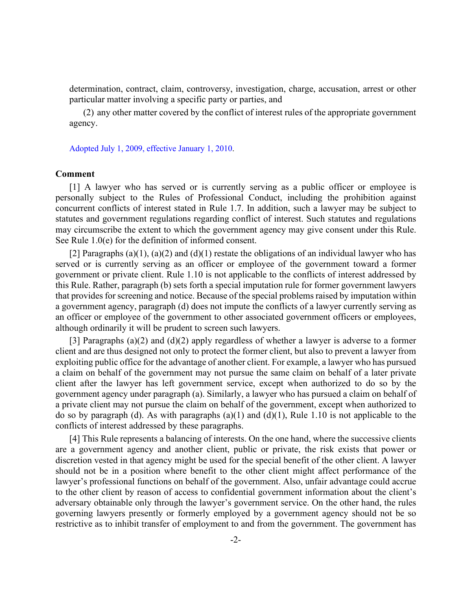determination, contract, claim, controversy, investigation, charge, accusation, arrest or other particular matter involving a specific party or parties, and

(2) any other matter covered by the conflict of interest rules of the appropriate government agency.

[Adopted July 1, 2009, effective January 1,](http://www.illinoiscourts.gov/files/070109.pdf/amendment) 2010.

## **Comment**

[1] A lawyer who has served or is currently serving as a public officer or employee is personally subject to the Rules of Professional Conduct, including the prohibition against concurrent conflicts of interest stated in Rule 1.7. In addition, such a lawyer may be subject to statutes and government regulations regarding conflict of interest. Such statutes and regulations may circumscribe the extent to which the government agency may give consent under this Rule. See Rule 1.0(e) for the definition of informed consent.

[2] Paragraphs (a)(1), (a)(2) and (d)(1) restate the obligations of an individual lawyer who has served or is currently serving as an officer or employee of the government toward a former government or private client. Rule 1.10 is not applicable to the conflicts of interest addressed by this Rule. Rather, paragraph (b) sets forth a special imputation rule for former government lawyers that provides for screening and notice. Because of the special problems raised by imputation within a government agency, paragraph (d) does not impute the conflicts of a lawyer currently serving as an officer or employee of the government to other associated government officers or employees, although ordinarily it will be prudent to screen such lawyers.

[3] Paragraphs (a)(2) and (d)(2) apply regardless of whether a lawyer is adverse to a former client and are thus designed not only to protect the former client, but also to prevent a lawyer from exploiting public office for the advantage of another client. For example, a lawyer who has pursued a claim on behalf of the government may not pursue the same claim on behalf of a later private client after the lawyer has left government service, except when authorized to do so by the government agency under paragraph (a). Similarly, a lawyer who has pursued a claim on behalf of a private client may not pursue the claim on behalf of the government, except when authorized to do so by paragraph (d). As with paragraphs  $(a)(1)$  and  $(d)(1)$ , Rule 1.10 is not applicable to the conflicts of interest addressed by these paragraphs.

[4] This Rule represents a balancing of interests. On the one hand, where the successive clients are a government agency and another client, public or private, the risk exists that power or discretion vested in that agency might be used for the special benefit of the other client. A lawyer should not be in a position where benefit to the other client might affect performance of the lawyer's professional functions on behalf of the government. Also, unfair advantage could accrue to the other client by reason of access to confidential government information about the client's adversary obtainable only through the lawyer's government service. On the other hand, the rules governing lawyers presently or formerly employed by a government agency should not be so restrictive as to inhibit transfer of employment to and from the government. The government has